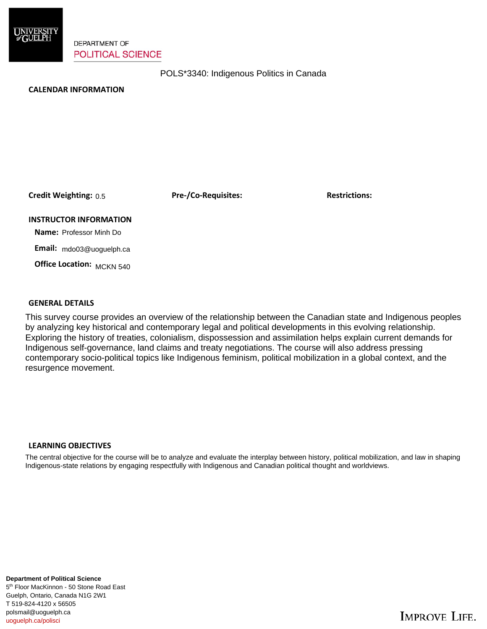

**DEPARTMENT OF POLITICAL SCIENCE** 

POLS\*3340: Indigenous Politics in Canada

## **CALENDAR INFORMATION**

**Credit Weighting: Pre-/Co-Requisites: Restrictions:** 0.5

**INSTRUCTOR INFORMATION**

 **Name:** Professor Minh Do

 **Email:** mdo03@uoguelph.ca

 **Office Location:**  MCKN 540

## **GENERAL DETAILS**

This survey course provides an overview of the relationship between the Canadian state and Indigenous peoples by analyzing key historical and contemporary legal and political developments in this evolving relationship. Exploring the history of treaties, colonialism, dispossession and assimilation helps explain current demands for Indigenous self-governance, land claims and treaty negotiations. The course will also address pressing contemporary socio-political topics like Indigenous feminism, political mobilization in a global context, and the resurgence movement.

## **LEARNING OBJECTIVES**

The central objective for the course will be to analyze and evaluate the interplay between history, political mobilization, and law in shaping Indigenous-state relations by engaging respectfully with Indigenous and Canadian political thought and worldviews.